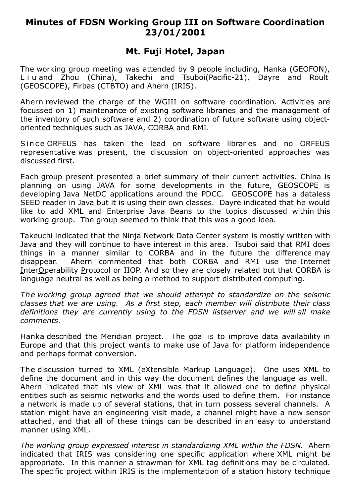## **Minutes of FDSN Working Group III on Software Coordination 23/01/2001**

## **Mt. Fuji Hotel, Japan**

The working group meeting was attended by 9 people including, Hanka (GEOFON), L i u and Zhou (China), Takechi and Tsuboi(Pacific-21), Dayre and Roult (GEOSCOPE), Firbas (CTBTO) and Ahern (IRIS).

Ahern reviewed the charge of the WGIII on software coordination. Activities are focussed on 1) maintenance of existing software libraries and the management of the inventory of such software and 2) coordination of future software using objectoriented techniques such as JAVA, CORBA and RMI.

Since ORFEUS has taken the lead on software libraries and no ORFEUS representative was present, the discussion on object-oriented approaches was discussed first.

Each group present presented a brief summary of their current activities. China is planning on using JAVA for some developments in the future, GEOSCOPE is developing Java NetDC applications around the PDCC. GEOSCOPE has a dataless SEED reader in Java but it is using their own classes. Dayre indicated that he would like to add XML and Enterprise Java Beans to the topics discussed within this working group. The group seemed to think that this was a good idea.

Takeuchi indicated that the Ninja Network Data Center system is mostly written with Java and they will continue to have interest in this area. Tsuboi said that RMI does things in a manner similar to CORBA and in the future the difference may disappear. Ahern commented that both CORBA and RMI use the Internet InterOperability Protocol or IIOP. And so they are closely related but that CORBA is language neutral as well as being a method to support distributed computing.

*The working group agreed that we should attempt to standardize on the seismic classes that we are using. As a first step, each member will distribute their class definitions they are currently using to the FDSN listserver and we will all make comments.*

Hanka described the Meridian project. The goal is to improve data availability in Europe and that this project wants to make use of Java for platform independence and perhaps format conversion.

The discussion turned to XML (eXtensible Markup Language). One uses XML to define the document and in this way the document defines the language as well. Ahern indicated that his view of XML was that it allowed one to define physical entities such as seismic networks and the words used to define them. For instance a network is made up of several stations, that in turn possess several channels. A station might have an engineering visit made, a channel might have a new sensor attached, and that all of these things can be described in an easy to understand manner using XML.

*The working group expressed interest in standardizing XML within the FDSN.* Ahern indicated that IRIS was considering one specific application where XML might be appropriate. In this manner a strawman for XML tag definitions may be circulated. The specific project within IRIS is the implementation of a station history technique